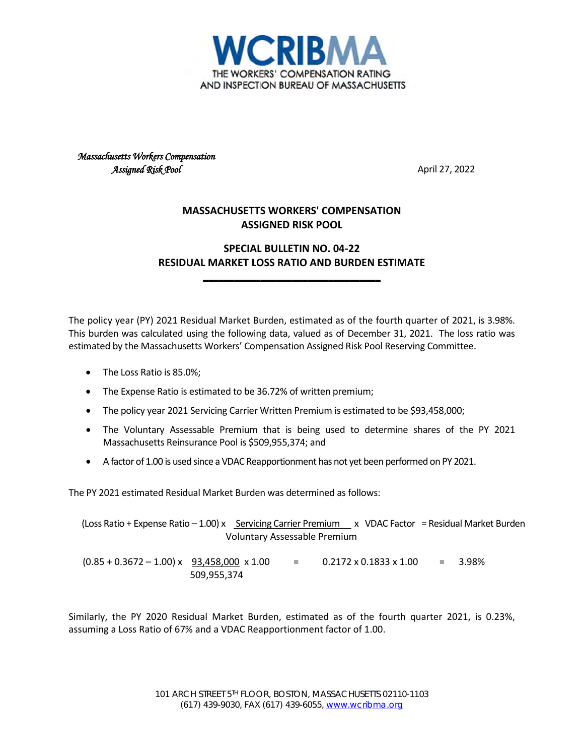

*Massachusetts Workers Compensation Assigned Risk Pool* April 27, 2022

## **MASSACHUSETTS WORKERS' COMPENSATION ASSIGNED RISK POOL**

## **SPECIAL BULLETIN NO. 04-22 RESIDUAL MARKET LOSS RATIO AND BURDEN ESTIMATE**

**\_\_\_\_\_\_\_\_\_\_\_\_\_\_\_\_\_\_\_\_\_\_\_\_\_\_\_\_\_\_\_\_\_\_**

The policy year (PY) 2021 Residual Market Burden, estimated as of the fourth quarter of 2021, is 3.98%. This burden was calculated using the following data, valued as of December 31, 2021. The loss ratio was estimated by the Massachusetts Workers' Compensation Assigned Risk Pool Reserving Committee.

- The Loss Ratio is 85.0%;
- The Expense Ratio is estimated to be 36.72% of written premium;
- The policy year 2021 Servicing Carrier Written Premium is estimated to be \$93,458,000;
- The Voluntary Assessable Premium that is being used to determine shares of the PY 2021 Massachusetts Reinsurance Pool is \$509,955,374; and
- A factor of 1.00 is used since a VDAC Reapportionment has not yet been performed on PY 2021.

The PY 2021 estimated Residual Market Burden was determined as follows:

(Loss Ratio + Expense Ratio - 1.00) x Servicing Carrier Premium x VDAC Factor = Residual Market Burden Voluntary Assessable Premium  $(0.85 + 0.3672 - 1.00) \times 93,458,000 \times 1.00 = 0.2172 \times 0.1833 \times 1.00 = 3.98\%$ 509,955,374

Similarly, the PY 2020 Residual Market Burden, estimated as of the fourth quarter 2021, is 0.23%, assuming a Loss Ratio of 67% and a VDAC Reapportionment factor of 1.00.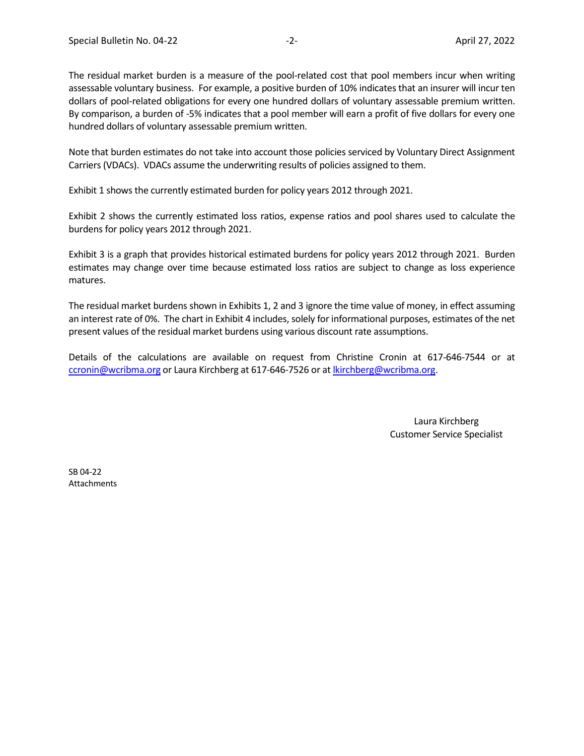The residual market burden is a measure of the pool-related cost that pool members incur when writing assessable voluntary business. For example, a positive burden of 10% indicates that an insurer will incur ten dollars of pool-related obligations for every one hundred dollars of voluntary assessable premium written. By comparison, a burden of -5% indicates that a pool member will earn a profit of five dollars for every one hundred dollars of voluntary assessable premium written.

Note that burden estimates do not take into account those policies serviced by Voluntary Direct Assignment Carriers (VDACs). VDACs assume the underwriting results of policies assigned to them.

Exhibit 1 shows the currently estimated burden for policy years 2012 through 2021.

Exhibit 2 shows the currently estimated loss ratios, expense ratios and pool shares used to calculate the burdens for policy years 2012 through 2021.

Exhibit 3 is a graph that provides historical estimated burdens for policy years 2012 through 2021. Burden estimates may change over time because estimated loss ratios are subject to change as loss experience matures.

The residual market burdens shown in Exhibits 1, 2 and 3 ignore the time value of money, in effect assuming an interest rate of 0%. The chart in Exhibit 4 includes, solely for informational purposes, estimates of the net present values of the residual market burdens using various discount rate assumptions.

Details of the calculations are available on request from Christine Cronin at 617-646-7544 or at [ccronin@wcribma.org](mailto:ccronin@wcribma.org) or Laura Kirchberg at 617-646-7526 or at [lkirchberg@wcribma.org.](mailto:lkirchberg@wcribma.org)

> Laura Kirchberg Customer Service Specialist

SB 04-22 Attachments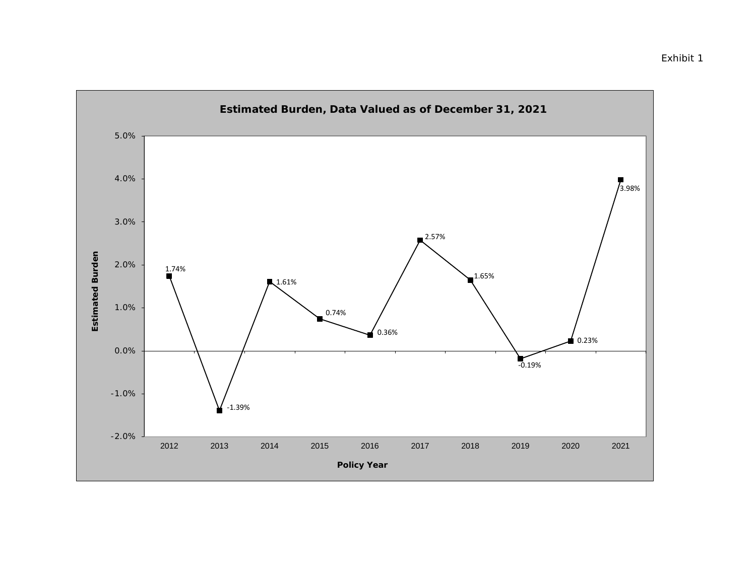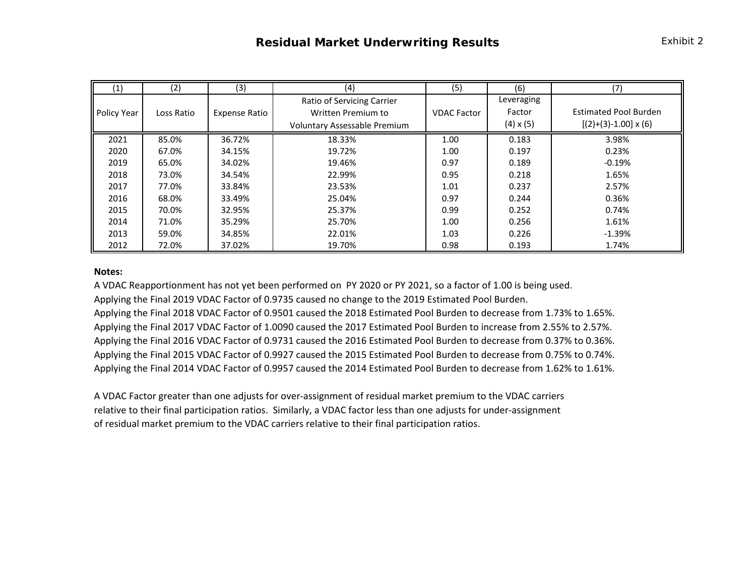| (1)                | (2)        | (3)                  | (4)                          | (5)                | (6)              | (7)                          |  |
|--------------------|------------|----------------------|------------------------------|--------------------|------------------|------------------------------|--|
|                    |            |                      | Ratio of Servicing Carrier   |                    | Leveraging       |                              |  |
| <b>Policy Year</b> | Loss Ratio | <b>Expense Ratio</b> | Written Premium to           | <b>VDAC Factor</b> | Factor           | <b>Estimated Pool Burden</b> |  |
|                    |            |                      | Voluntary Assessable Premium |                    | $(4) \times (5)$ | $[(2)+(3)-1.00] \times (6)$  |  |
| 2021               | 85.0%      | 36.72%               | 18.33%                       | 1.00               | 0.183            | 3.98%                        |  |
| 2020               | 67.0%      | 34.15%               | 19.72%                       | 1.00               | 0.197            | 0.23%                        |  |
| 2019               | 65.0%      | 34.02%               | 19.46%                       | 0.97               | 0.189            | $-0.19%$                     |  |
| 2018               | 73.0%      | 34.54%               | 22.99%                       | 0.95               | 0.218            | 1.65%                        |  |
| 2017               | 77.0%      | 33.84%               | 23.53%                       | 1.01               | 0.237            | 2.57%                        |  |
| 2016               | 68.0%      | 33.49%               | 25.04%                       | 0.97               | 0.244            | 0.36%                        |  |
| 2015               | 70.0%      | 32.95%               | 25.37%                       | 0.99               | 0.252            | 0.74%                        |  |
| 2014               | 71.0%      | 35.29%               | 25.70%                       | 1.00               | 0.256            | 1.61%                        |  |
| 2013               | 59.0%      | 34.85%               | 22.01%                       | 1.03               | 0.226            | $-1.39%$                     |  |
| 2012               | 72.0%      | 37.02%               | 19.70%                       | 0.98               | 0.193            | 1.74%                        |  |

## **Notes:**

A VDAC Reapportionment has not yet been performed on PY 2020 or PY 2021, so a factor of 1.00 is being used. Applying the Final 2019 VDAC Factor of 0.9735 caused no change to the 2019 Estimated Pool Burden.

Applying the Final 2018 VDAC Factor of 0.9501 caused the 2018 Estimated Pool Burden to decrease from 1.73% to 1.65%. Applying the Final 2017 VDAC Factor of 1.0090 caused the 2017 Estimated Pool Burden to increase from 2.55% to 2.57%. Applying the Final 2016 VDAC Factor of 0.9731 caused the 2016 Estimated Pool Burden to decrease from 0.37% to 0.36%. Applying the Final 2015 VDAC Factor of 0.9927 caused the 2015 Estimated Pool Burden to decrease from 0.75% to 0.74%. Applying the Final 2014 VDAC Factor of 0.9957 caused the 2014 Estimated Pool Burden to decrease from 1.62% to 1.61%.

A VDAC Factor greater than one adjusts for over-assignment of residual market premium to the VDAC carriers relative to their final participation ratios. Similarly, a VDAC factor less than one adjusts for under-assignment of residual market premium to the VDAC carriers relative to their final participation ratios.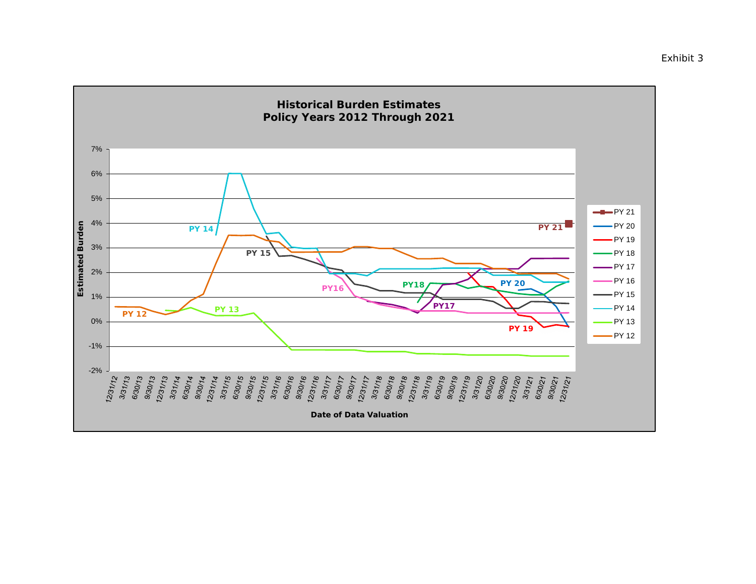